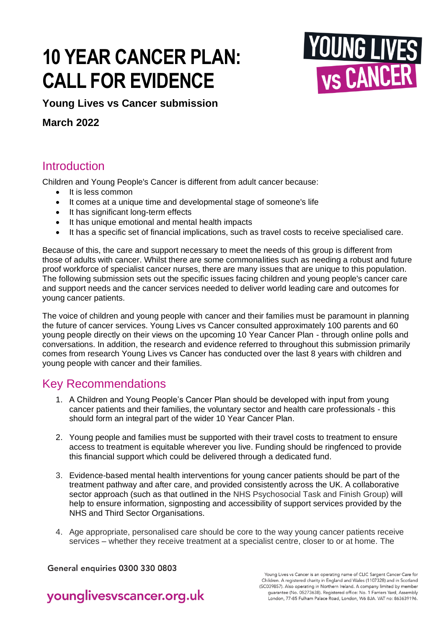# **10 YEAR CANCER PLAN: CALL FOR EVIDENCE**



**Young Lives vs Cancer submission**

**March 2022**

# **Introduction**

Children and Young People's Cancer is different from adult cancer because:

- It is less common
- It comes at a unique time and developmental stage of someone's life
- It has significant long-term effects
- It has unique emotional and mental health impacts
- It has a specific set of financial implications, such as travel costs to receive specialised care.

Because of this, the care and support necessary to meet the needs of this group is different from those of adults with cancer. Whilst there are some commonalities such as needing a robust and future proof workforce of specialist cancer nurses, there are many issues that are unique to this population. The following submission sets out the specific issues facing children and young people's cancer care and support needs and the cancer services needed to deliver world leading care and outcomes for young cancer patients.

The voice of children and young people with cancer and their families must be paramount in planning the future of cancer services. Young Lives vs Cancer consulted approximately 100 parents and 60 young people directly on their views on the upcoming 10 Year Cancer Plan - through online polls and conversations. In addition, the research and evidence referred to throughout this submission primarily comes from research Young Lives vs Cancer has conducted over the last 8 years with children and young people with cancer and their families.

## Key Recommendations

- 1. A Children and Young People's Cancer Plan should be developed with input from young cancer patients and their families, the voluntary sector and health care professionals - this should form an integral part of the wider 10 Year Cancer Plan.
- 2. Young people and families must be supported with their travel costs to treatment to ensure access to treatment is equitable wherever you live. Funding should be ringfenced to provide this financial support which could be delivered through a dedicated fund.
- 3. Evidence-based mental health interventions for young cancer patients should be part of the treatment pathway and after care, and provided consistently across the UK. A collaborative sector approach (such as that outlined in the NHS Psychosocial Task and Finish Group) will help to ensure information, signposting and accessibility of support services provided by the NHS and Third Sector Organisations.
- 4. Age appropriate, personalised care should be core to the way young cancer patients receive services – whether they receive treatment at a specialist centre, closer to or at home. The

General enquiries 0300 330 0803

Young Lives vs Cancer is an operating name of CLIC Sargent Cancer Care for Children. A registered charity in England and Wales (1107328) and in Scotland (SC039857). Also operating in Northern Ireland. A company limited by member guarantee (No. 05273638). Registered office: No. 1 Farriers Yard, Assembly London, 77-85 Fulham Palace Road, London, W6 8JA. VAT no: 863639196.

# younglivesvscancer.org.uk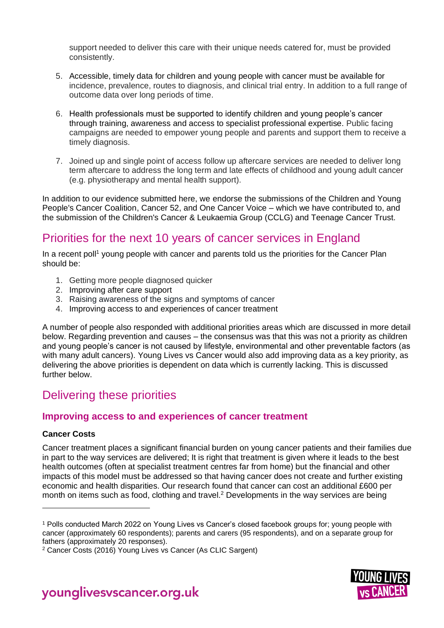support needed to deliver this care with their unique needs catered for, must be provided consistently.

- 5. Accessible, timely data for children and young people with cancer must be available for incidence, prevalence, routes to diagnosis, and clinical trial entry. In addition to a full range of outcome data over long periods of time.
- 6. Health professionals must be supported to identify children and young people's cancer through training, awareness and access to specialist professional expertise. Public facing campaigns are needed to empower young people and parents and support them to receive a timely diagnosis.
- 7. Joined up and single point of access follow up aftercare services are needed to deliver long term aftercare to address the long term and late effects of childhood and young adult cancer (e.g. physiotherapy and mental health support).

In addition to our evidence submitted here, we endorse the submissions of the Children and Young People's Cancer Coalition, Cancer 52, and One Cancer Voice – which we have contributed to, and the submission of the Children's Cancer & Leukaemia Group (CCLG) and Teenage Cancer Trust.

# Priorities for the next 10 years of cancer services in England

In a recent poll<sup>1</sup> young people with cancer and parents told us the priorities for the Cancer Plan should be:

- 1. Getting more people diagnosed quicker
- 2. Improving after care support
- 3. Raising awareness of the signs and symptoms of cancer
- 4. Improving access to and experiences of cancer treatment

A number of people also responded with additional priorities areas which are discussed in more detail below. Regarding prevention and causes – the consensus was that this was not a priority as children and young people's cancer is not caused by lifestyle, environmental and other preventable factors (as with many adult cancers). Young Lives vs Cancer would also add improving data as a key priority, as delivering the above priorities is dependent on data which is currently lacking. This is discussed further below.

# Delivering these priorities

#### **Improving access to and experiences of cancer treatment**

#### **Cancer Costs**

Cancer treatment places a significant financial burden on young cancer patients and their families due in part to the way services are delivered; It is right that treatment is given where it leads to the best health outcomes (often at specialist treatment centres far from home) but the financial and other impacts of this model must be addressed so that having cancer does not create and further existing economic and health disparities. Our research found that cancer can cost an additional £600 per month on items such as food, clothing and travel.<sup>2</sup> Developments in the way services are being



<sup>1</sup> Polls conducted March 2022 on Young Lives vs Cancer's closed facebook groups for; young people with cancer (approximately 60 respondents); parents and carers (95 respondents), and on a separate group for fathers (approximately 20 responses).

<sup>2</sup> Cancer Costs (2016) Young Lives vs Cancer (As CLIC Sargent)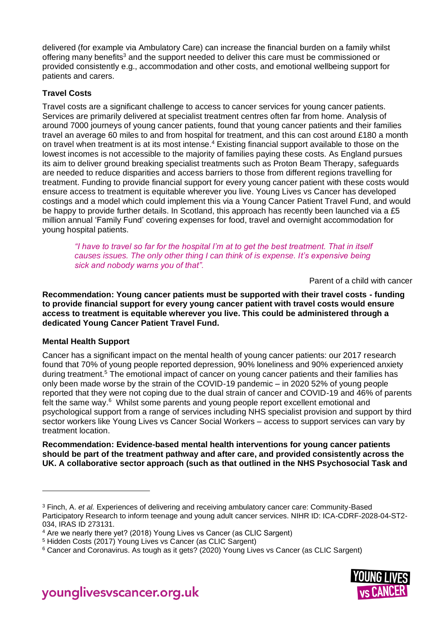delivered (for example via Ambulatory Care) can increase the financial burden on a family whilst offering many benefits<sup>3</sup> and the support needed to deliver this care must be commissioned or provided consistently e.g., accommodation and other costs, and emotional wellbeing support for patients and carers.

#### **Travel Costs**

Travel costs are a significant challenge to access to cancer services for young cancer patients. Services are primarily delivered at specialist treatment centres often far from home. Analysis of around 7000 journeys of young cancer patients, found that young cancer patients and their families travel an average 60 miles to and from hospital for treatment, and this can cost around £180 a month on travel when treatment is at its most intense.<sup>4</sup> Existing financial support available to those on the lowest incomes is not accessible to the majority of families paying these costs. As England pursues its aim to deliver ground breaking specialist treatments such as Proton Beam Therapy, safeguards are needed to reduce disparities and access barriers to those from different regions travelling for treatment. Funding to provide financial support for every young cancer patient with these costs would ensure access to treatment is equitable wherever you live. Young Lives vs Cancer has developed costings and a model which could implement this via a Young Cancer Patient Travel Fund, and would be happy to provide further details. In Scotland, this approach has recently been launched via a £5 million annual 'Family Fund' covering expenses for food, travel and overnight accommodation for young hospital patients.

*"I have to travel so far for the hospital I'm at to get the best treatment. That in itself causes issues. The only other thing I can think of is expense. It's expensive being sick and nobody warns you of that".*

Parent of a child with cancer

**Recommendation: Young cancer patients must be supported with their travel costs - funding to provide financial support for every young cancer patient with travel costs would ensure access to treatment is equitable wherever you live. This could be administered through a dedicated Young Cancer Patient Travel Fund.**

#### **Mental Health Support**

Cancer has a significant impact on the mental health of young cancer patients: our 2017 research found that 70% of young people reported depression, 90% loneliness and 90% experienced anxiety during treatment.<sup>5</sup> The emotional impact of cancer on young cancer patients and their families has only been made worse by the strain of the COVID-19 pandemic – in 2020 52% of young people reported that they were not coping due to the dual strain of cancer and COVID-19 and 46% of parents felt the same way.<sup>6</sup> Whilst some parents and young people report excellent emotional and psychological support from a range of services including NHS specialist provision and support by third sector workers like Young Lives vs Cancer Social Workers – access to support services can vary by treatment location.

**Recommendation: Evidence-based mental health interventions for young cancer patients should be part of the treatment pathway and after care, and provided consistently across the UK. A collaborative sector approach (such as that outlined in the NHS Psychosocial Task and** 

<sup>6</sup> Cancer and Coronavirus. As tough as it gets? (2020) Young Lives vs Cancer (as CLIC Sargent)



<sup>3</sup> Finch, A. *et al.* Experiences of delivering and receiving ambulatory cancer care: Community-Based Participatory Research to inform teenage and young adult cancer services. NIHR ID: ICA-CDRF-2028-04-ST2- 034, IRAS ID 273131.

<sup>4</sup> Are we nearly there yet? (2018) Young Lives vs Cancer (as CLIC Sargent) 

<sup>5</sup> Hidden Costs (2017) Young Lives vs Cancer (as CLIC Sargent)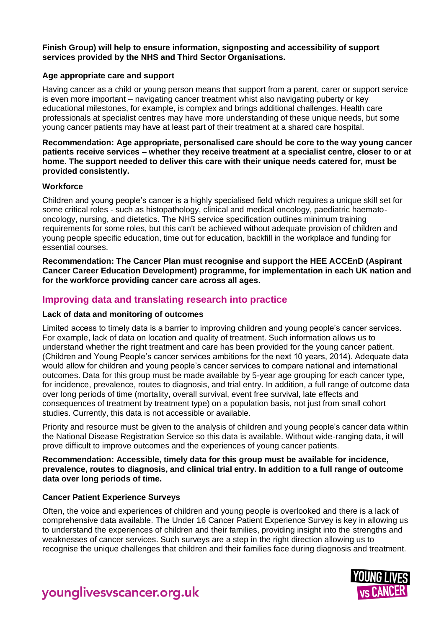**Finish Group) will help to ensure information, signposting and accessibility of support services provided by the NHS and Third Sector Organisations.** 

#### **Age appropriate care and support**

Having cancer as a child or young person means that support from a parent, carer or support service is even more important – navigating cancer treatment whist also navigating puberty or key educational milestones, for example, is complex and brings additional challenges. Health care professionals at specialist centres may have more understanding of these unique needs, but some young cancer patients may have at least part of their treatment at a shared care hospital.

**Recommendation: Age appropriate, personalised care should be core to the way young cancer patients receive services – whether they receive treatment at a specialist centre, closer to or at home. The support needed to deliver this care with their unique needs catered for, must be provided consistently.**

#### **Workforce**

Children and young people's cancer is a highly specialised field which requires a unique skill set for some critical roles - such as histopathology, clinical and medical oncology, paediatric haematooncology, nursing, and dietetics. The NHS service specification outlines minimum training requirements for some roles, but this can't be achieved without adequate provision of children and young people specific education, time out for education, backfill in the workplace and funding for essential courses.

**Recommendation: The Cancer Plan must recognise and support the HEE ACCEnD (Aspirant Cancer Career Education Development) programme, for implementation in each UK nation and for the workforce providing cancer care across all ages.**

#### **Improving data and translating research into practice**

#### **Lack of data and monitoring of outcomes**

Limited access to timely data is a barrier to improving children and young people's cancer services. For example, lack of data on location and quality of treatment. Such information allows us to understand whether the right treatment and care has been provided for the young cancer patient. (Children and Young People's cancer services ambitions for the next 10 years, 2014). Adequate data would allow for children and young people's cancer services to compare national and international outcomes. Data for this group must be made available by 5-year age grouping for each cancer type, for incidence, prevalence, routes to diagnosis, and trial entry. In addition, a full range of outcome data over long periods of time (mortality, overall survival, event free survival, late effects and consequences of treatment by treatment type) on a population basis, not just from small cohort studies. Currently, this data is not accessible or available.

Priority and resource must be given to the analysis of children and young people's cancer data within the National Disease Registration Service so this data is available. Without wide-ranging data, it will prove difficult to improve outcomes and the experiences of young cancer patients.

#### **Recommendation: Accessible, timely data for this group must be available for incidence, prevalence, routes to diagnosis, and clinical trial entry. In addition to a full range of outcome data over long periods of time.**

#### **Cancer Patient Experience Surveys**

Often, the voice and experiences of children and young people is overlooked and there is a lack of comprehensive data available. The Under 16 Cancer Patient Experience Survey is key in allowing us to understand the experiences of children and their families, providing insight into the strengths and weaknesses of cancer services. Such surveys are a step in the right direction allowing us to recognise the unique challenges that children and their families face during diagnosis and treatment.



younglivesyscancer.org.uk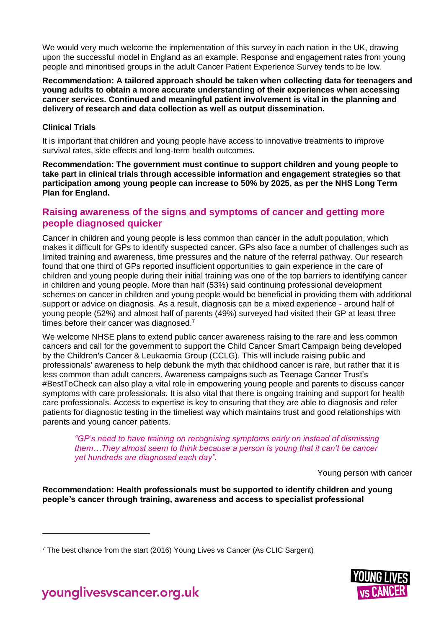We would very much welcome the implementation of this survey in each nation in the UK, drawing upon the successful model in England as an example. Response and engagement rates from young people and minoritised groups in the adult Cancer Patient Experience Survey tends to be low.

**Recommendation: A tailored approach should be taken when collecting data for teenagers and young adults to obtain a more accurate understanding of their experiences when accessing cancer services. Continued and meaningful patient involvement is vital in the planning and delivery of research and data collection as well as output dissemination.** 

#### **Clinical Trials**

It is important that children and young people have access to innovative treatments to improve survival rates, side effects and long-term health outcomes.

**Recommendation: The government must continue to support children and young people to take part in clinical trials through accessible information and engagement strategies so that participation among young people can increase to 50% by 2025, as per the NHS Long Term Plan for England.**

#### **Raising awareness of the signs and symptoms of cancer and getting more people diagnosed quicker**

Cancer in children and young people is less common than cancer in the adult population, which makes it difficult for GPs to identify suspected cancer. GPs also face a number of challenges such as limited training and awareness, time pressures and the nature of the referral pathway. Our research found that one third of GPs reported insufficient opportunities to gain experience in the care of children and young people during their initial training was one of the top barriers to identifying cancer in children and young people. More than half (53%) said continuing professional development schemes on cancer in children and young people would be beneficial in providing them with additional support or advice on diagnosis. As a result, diagnosis can be a mixed experience - around half of young people (52%) and almost half of parents (49%) surveyed had visited their GP at least three times before their cancer was diagnosed.<sup>7</sup>

We welcome NHSE plans to extend public cancer awareness raising to the rare and less common cancers and call for the government to support the Child Cancer Smart Campaign being developed by the Children's Cancer & Leukaemia Group (CCLG). This will include raising public and professionals' awareness to help debunk the myth that childhood cancer is rare, but rather that it is less common than adult cancers. Awareness campaigns such as Teenage Cancer Trust's #BestToCheck can also play a vital role in empowering young people and parents to discuss cancer symptoms with care professionals. It is also vital that there is ongoing training and support for health care professionals. Access to expertise is key to ensuring that they are able to diagnosis and refer patients for diagnostic testing in the timeliest way which maintains trust and good relationships with parents and young cancer patients.

*"GP's need to have training on recognising symptoms early on instead of dismissing them…They almost seem to think because a person is young that it can't be cancer yet hundreds are diagnosed each day".*

Young person with cancer

**Recommendation: Health professionals must be supported to identify children and young people's cancer through training, awareness and access to specialist professional** 



<sup>7</sup> The best chance from the start (2016) Young Lives vs Cancer (As CLIC Sargent)